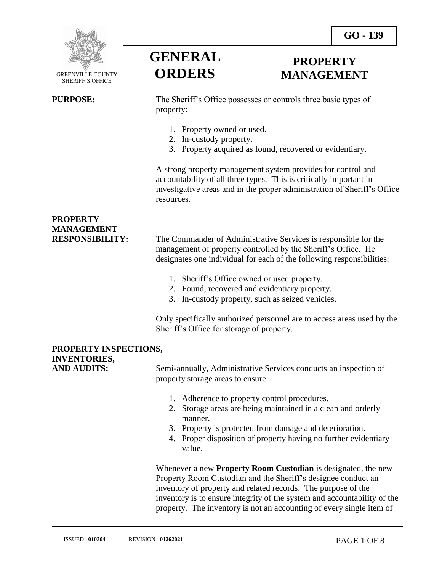**GO - 139** 



 GREENVILLE COUNTY SHERIFF'S OFFICE

 $\overline{a}$ 

**GENERAL ORDERS**

## **PROPERTY MANAGEMENT**

**PURPOSE:** The Sheriff's Office possesses or controls three basic types of property:

- 1. Property owned or used.
- 2. In-custody property.
- 3. Property acquired as found, recovered or evidentiary.

A strong property management system provides for control and accountability of all three types. This is critically important in investigative areas and in the proper administration of Sheriff's Office resources.

## **PROPERTY MANAGEMENT**

**RESPONSIBILITY:** The Commander of Administrative Services is responsible for the management of property controlled by the Sheriff's Office. He designates one individual for each of the following responsibilities:

- 1. Sheriff's Office owned or used property.
- 2. Found, recovered and evidentiary property.
- 3. In-custody property, such as seized vehicles.

Only specifically authorized personnel are to access areas used by the Sheriff's Office for storage of property.

### **PROPERTY INSPECTIONS, INVENTORIES,**

AND AUDITS: Semi-annually, Administrative Services conducts an inspection of property storage areas to ensure:

- 1. Adherence to property control procedures.
- 2. Storage areas are being maintained in a clean and orderly manner.
- 3. Property is protected from damage and deterioration.
- 4. Proper disposition of property having no further evidentiary value.

Whenever a new **Property Room Custodian** is designated, the new Property Room Custodian and the Sheriff's designee conduct an inventory of property and related records. The purpose of the inventory is to ensure integrity of the system and accountability of the property. The inventory is not an accounting of every single item of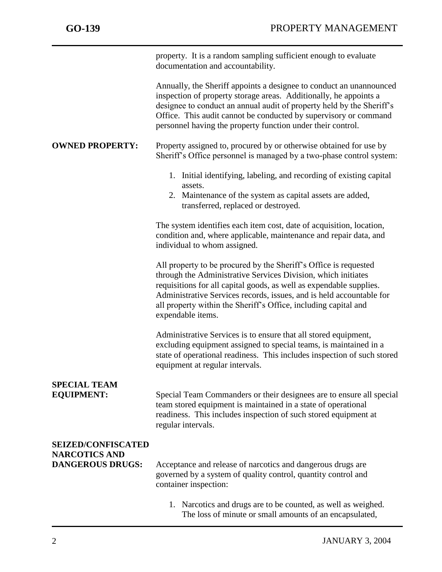|                                                                              | property. It is a random sampling sufficient enough to evaluate<br>documentation and accountability.                                                                                                                                                                                                                                                                     |
|------------------------------------------------------------------------------|--------------------------------------------------------------------------------------------------------------------------------------------------------------------------------------------------------------------------------------------------------------------------------------------------------------------------------------------------------------------------|
|                                                                              | Annually, the Sheriff appoints a designee to conduct an unannounced<br>inspection of property storage areas. Additionally, he appoints a<br>designee to conduct an annual audit of property held by the Sheriff's<br>Office. This audit cannot be conducted by supervisory or command<br>personnel having the property function under their control.                     |
| <b>OWNED PROPERTY:</b>                                                       | Property assigned to, procured by or otherwise obtained for use by<br>Sheriff's Office personnel is managed by a two-phase control system:                                                                                                                                                                                                                               |
|                                                                              | 1. Initial identifying, labeling, and recording of existing capital<br>assets.<br>2. Maintenance of the system as capital assets are added,<br>transferred, replaced or destroyed.                                                                                                                                                                                       |
|                                                                              | The system identifies each item cost, date of acquisition, location,<br>condition and, where applicable, maintenance and repair data, and<br>individual to whom assigned.                                                                                                                                                                                                |
|                                                                              | All property to be procured by the Sheriff's Office is requested<br>through the Administrative Services Division, which initiates<br>requisitions for all capital goods, as well as expendable supplies.<br>Administrative Services records, issues, and is held accountable for<br>all property within the Sheriff's Office, including capital and<br>expendable items. |
|                                                                              | Administrative Services is to ensure that all stored equipment,<br>excluding equipment assigned to special teams, is maintained in a<br>state of operational readiness. This includes inspection of such stored<br>equipment at regular intervals.                                                                                                                       |
| <b>SPECIAL TEAM</b><br><b>EQUIPMENT:</b>                                     | Special Team Commanders or their designees are to ensure all special<br>team stored equipment is maintained in a state of operational<br>readiness. This includes inspection of such stored equipment at<br>regular intervals.                                                                                                                                           |
| <b>SEIZED/CONFISCATED</b><br><b>NARCOTICS AND</b><br><b>DANGEROUS DRUGS:</b> | Acceptance and release of narcotics and dangerous drugs are<br>governed by a system of quality control, quantity control and<br>container inspection:                                                                                                                                                                                                                    |
|                                                                              | 1. Narcotics and drugs are to be counted, as well as weighed.<br>The loss of minute or small amounts of an encapsulated,                                                                                                                                                                                                                                                 |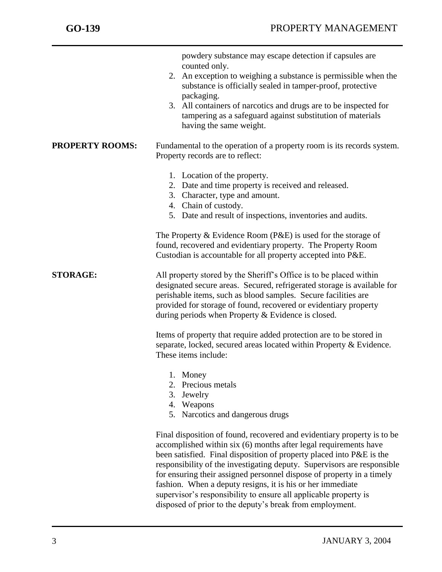|                        | powdery substance may escape detection if capsules are<br>counted only.<br>2. An exception to weighing a substance is permissible when the<br>substance is officially sealed in tamper-proof, protective<br>packaging.<br>3. All containers of narcotics and drugs are to be inspected for<br>tampering as a safeguard against substitution of materials<br>having the same weight.                                                                                                                                                                                   |
|------------------------|-----------------------------------------------------------------------------------------------------------------------------------------------------------------------------------------------------------------------------------------------------------------------------------------------------------------------------------------------------------------------------------------------------------------------------------------------------------------------------------------------------------------------------------------------------------------------|
| <b>PROPERTY ROOMS:</b> | Fundamental to the operation of a property room is its records system.<br>Property records are to reflect:                                                                                                                                                                                                                                                                                                                                                                                                                                                            |
|                        | 1. Location of the property.<br>2. Date and time property is received and released.<br>3. Character, type and amount.<br>4. Chain of custody.<br>5. Date and result of inspections, inventories and audits.                                                                                                                                                                                                                                                                                                                                                           |
|                        | The Property & Evidence Room $(P \& E)$ is used for the storage of<br>found, recovered and evidentiary property. The Property Room<br>Custodian is accountable for all property accepted into P&E.                                                                                                                                                                                                                                                                                                                                                                    |
| <b>STORAGE:</b>        | All property stored by the Sheriff's Office is to be placed within<br>designated secure areas. Secured, refrigerated storage is available for<br>perishable items, such as blood samples. Secure facilities are<br>provided for storage of found, recovered or evidentiary property<br>during periods when Property & Evidence is closed.                                                                                                                                                                                                                             |
|                        | Items of property that require added protection are to be stored in<br>separate, locked, secured areas located within Property & Evidence.<br>These items include:                                                                                                                                                                                                                                                                                                                                                                                                    |
|                        | Money<br>1.<br>Precious metals<br>2.<br>3.<br>Jewelry<br>4. Weapons<br>5. Narcotics and dangerous drugs                                                                                                                                                                                                                                                                                                                                                                                                                                                               |
|                        | Final disposition of found, recovered and evidentiary property is to be<br>accomplished within six (6) months after legal requirements have<br>been satisfied. Final disposition of property placed into P&E is the<br>responsibility of the investigating deputy. Supervisors are responsible<br>for ensuring their assigned personnel dispose of property in a timely<br>fashion. When a deputy resigns, it is his or her immediate<br>supervisor's responsibility to ensure all applicable property is<br>disposed of prior to the deputy's break from employment. |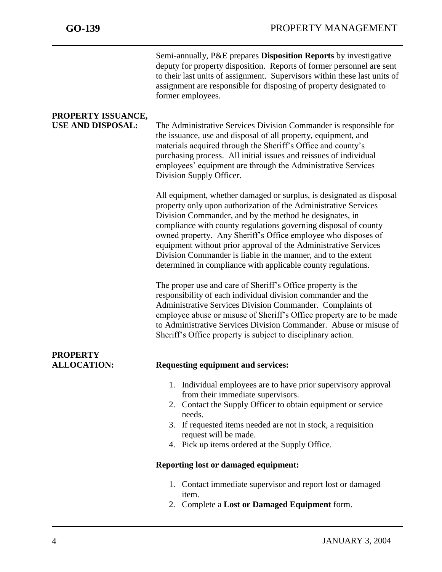|                                                | Semi-annually, P&E prepares Disposition Reports by investigative<br>deputy for property disposition. Reports of former personnel are sent<br>to their last units of assignment. Supervisors within these last units of<br>assignment are responsible for disposing of property designated to<br>former employees.                                                                                                                                                                                                                          |
|------------------------------------------------|--------------------------------------------------------------------------------------------------------------------------------------------------------------------------------------------------------------------------------------------------------------------------------------------------------------------------------------------------------------------------------------------------------------------------------------------------------------------------------------------------------------------------------------------|
| PROPERTY ISSUANCE,<br><b>USE AND DISPOSAL:</b> | The Administrative Services Division Commander is responsible for<br>the issuance, use and disposal of all property, equipment, and<br>materials acquired through the Sheriff's Office and county's<br>purchasing process. All initial issues and reissues of individual<br>employees' equipment are through the Administrative Services<br>Division Supply Officer.                                                                                                                                                                       |
|                                                | All equipment, whether damaged or surplus, is designated as disposal<br>property only upon authorization of the Administrative Services<br>Division Commander, and by the method he designates, in<br>compliance with county regulations governing disposal of county<br>owned property. Any Sheriff's Office employee who disposes of<br>equipment without prior approval of the Administrative Services<br>Division Commander is liable in the manner, and to the extent<br>determined in compliance with applicable county regulations. |
|                                                | The proper use and care of Sheriff's Office property is the<br>responsibility of each individual division commander and the<br>Administrative Services Division Commander. Complaints of<br>employee abuse or misuse of Sheriff's Office property are to be made<br>to Administrative Services Division Commander. Abuse or misuse of<br>Sheriff's Office property is subject to disciplinary action.                                                                                                                                      |
| <b>PROPERTY</b><br><b>ALLOCATION:</b>          | <b>Requesting equipment and services:</b>                                                                                                                                                                                                                                                                                                                                                                                                                                                                                                  |
|                                                | 1. Individual employees are to have prior supervisory approval<br>from their immediate supervisors.<br>2. Contact the Supply Officer to obtain equipment or service<br>needs.<br>3. If requested items needed are not in stock, a requisition<br>request will be made.<br>4. Pick up items ordered at the Supply Office.                                                                                                                                                                                                                   |
|                                                | <b>Reporting lost or damaged equipment:</b>                                                                                                                                                                                                                                                                                                                                                                                                                                                                                                |
|                                                | 1. Contact immediate supervisor and report lost or damaged<br>item.<br>2. Complete a Lost or Damaged Equipment form.                                                                                                                                                                                                                                                                                                                                                                                                                       |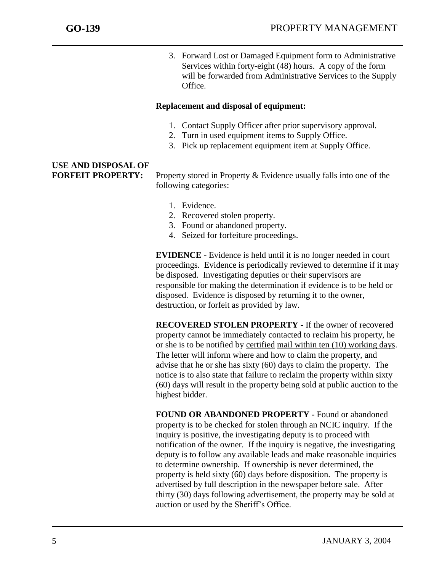3. Forward Lost or Damaged Equipment form to Administrative Services within forty-eight (48) hours. A copy of the form will be forwarded from Administrative Services to the Supply Office.

#### **Replacement and disposal of equipment:**

- 1. Contact Supply Officer after prior supervisory approval.
- 2. Turn in used equipment items to Supply Office.
- 3. Pick up replacement equipment item at Supply Office.

# **USE AND DISPOSAL OF**

**FORFEIT PROPERTY:** Property stored in Property & Evidence usually falls into one of the following categories:

- 1. Evidence.
- 2. Recovered stolen property.
- 3. Found or abandoned property.
- 4. Seized for forfeiture proceedings.

**EVIDENCE** - Evidence is held until it is no longer needed in court proceedings. Evidence is periodically reviewed to determine if it may be disposed. Investigating deputies or their supervisors are responsible for making the determination if evidence is to be held or disposed. Evidence is disposed by returning it to the owner, destruction, or forfeit as provided by law.

**RECOVERED STOLEN PROPERTY** - If the owner of recovered property cannot be immediately contacted to reclaim his property, he or she is to be notified by certified mail within ten (10) working days. The letter will inform where and how to claim the property, and advise that he or she has sixty (60) days to claim the property. The notice is to also state that failure to reclaim the property within sixty (60) days will result in the property being sold at public auction to the highest bidder.

**FOUND OR ABANDONED PROPERTY** - Found or abandoned property is to be checked for stolen through an NCIC inquiry. If the inquiry is positive, the investigating deputy is to proceed with notification of the owner. If the inquiry is negative, the investigating deputy is to follow any available leads and make reasonable inquiries to determine ownership. If ownership is never determined, the property is held sixty (60) days before disposition. The property is advertised by full description in the newspaper before sale. After thirty (30) days following advertisement, the property may be sold at auction or used by the Sheriff's Office.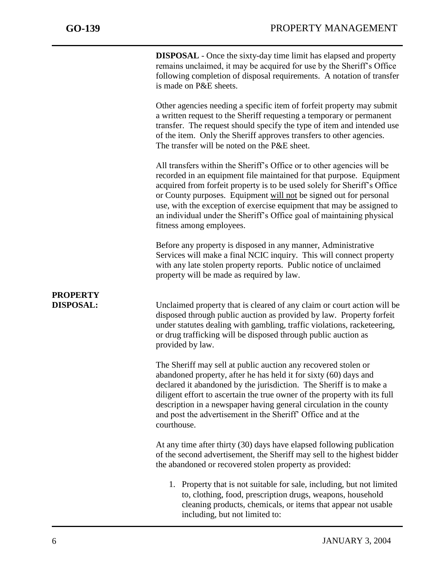**DISPOSAL** - Once the sixty-day time limit has elapsed and property remains unclaimed, it may be acquired for use by the Sheriff's Office following completion of disposal requirements. A notation of transfer is made on P&E sheets.

Other agencies needing a specific item of forfeit property may submit a written request to the Sheriff requesting a temporary or permanent transfer. The request should specify the type of item and intended use of the item. Only the Sheriff approves transfers to other agencies. The transfer will be noted on the P&E sheet.

All transfers within the Sheriff's Office or to other agencies will be recorded in an equipment file maintained for that purpose. Equipment acquired from forfeit property is to be used solely for Sheriff's Office or County purposes. Equipment will not be signed out for personal use, with the exception of exercise equipment that may be assigned to an individual under the Sheriff's Office goal of maintaining physical fitness among employees.

Before any property is disposed in any manner, Administrative Services will make a final NCIC inquiry. This will connect property with any late stolen property reports. Public notice of unclaimed property will be made as required by law.

## **PROPERTY**

**DISPOSAL:** Unclaimed property that is cleared of any claim or court action will be disposed through public auction as provided by law. Property forfeit under statutes dealing with gambling, traffic violations, racketeering, or drug trafficking will be disposed through public auction as provided by law.

> The Sheriff may sell at public auction any recovered stolen or abandoned property, after he has held it for sixty (60) days and declared it abandoned by the jurisdiction. The Sheriff is to make a diligent effort to ascertain the true owner of the property with its full description in a newspaper having general circulation in the county and post the advertisement in the Sheriff' Office and at the courthouse.

At any time after thirty (30) days have elapsed following publication of the second advertisement, the Sheriff may sell to the highest bidder the abandoned or recovered stolen property as provided:

1. Property that is not suitable for sale, including, but not limited to, clothing, food, prescription drugs, weapons, household cleaning products, chemicals, or items that appear not usable including, but not limited to: